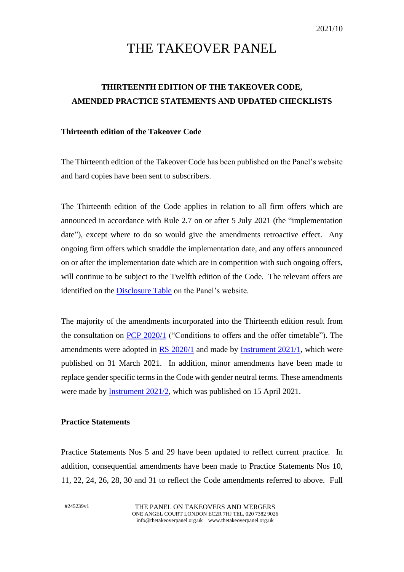# THE TAKEOVER PANEL

## **THIRTEENTH EDITION OF THE TAKEOVER CODE, AMENDED PRACTICE STATEMENTS AND UPDATED CHECKLISTS**

#### **Thirteenth edition of the Takeover Code**

The Thirteenth edition of the Takeover Code has been published on the Panel's website and hard copies have been sent to subscribers.

The Thirteenth edition of the Code applies in relation to all firm offers which are announced in accordance with Rule 2.7 on or after 5 July 2021 (the "implementation date"), except where to do so would give the amendments retroactive effect. Any ongoing firm offers which straddle the implementation date, and any offers announced on or after the implementation date which are in competition with such ongoing offers, will continue to be subject to the Twelfth edition of the Code. The relevant offers are identified on the [Disclosure Table](https://www.thetakeoverpanel.org.uk/disclosure/disclosure-table) on the Panel's website.

The majority of the amendments incorporated into the Thirteenth edition result from the consultation on [PCP 2020/1](https://www.thetakeoverpanel.org.uk/wp-content/uploads/2020/10/PCP-2020_1-Conditions-to-offers-and-the-offer-timetable.pdf) ("Conditions to offers and the offer timetable"). The amendments were adopted in [RS 2020/1](https://www.thetakeoverpanel.org.uk/wp-content/uploads/2021/03/RS-2020_1-FINAL-31-March-2021.pdf) and made by [Instrument 2021/1](https://www.thetakeoverpanel.org.uk/wp-content/uploads/2021/03/Instrument-2021-1.pdf), which were published on 31 March 2021. In addition, minor amendments have been made to replace gender specific terms in the Code with gender neutral terms. These amendments were made by [Instrument 2021/2,](https://www.thetakeoverpanel.org.uk/wp-content/uploads/2021/04/Instrument-re-gender-neutrality-April-2021.pdf) which was published on 15 April 2021.

#### **Practice Statements**

Practice Statements Nos 5 and 29 have been updated to reflect current practice. In addition, consequential amendments have been made to Practice Statements Nos 10, 11, 22, 24, 26, 28, 30 and 31 to reflect the Code amendments referred to above. Full